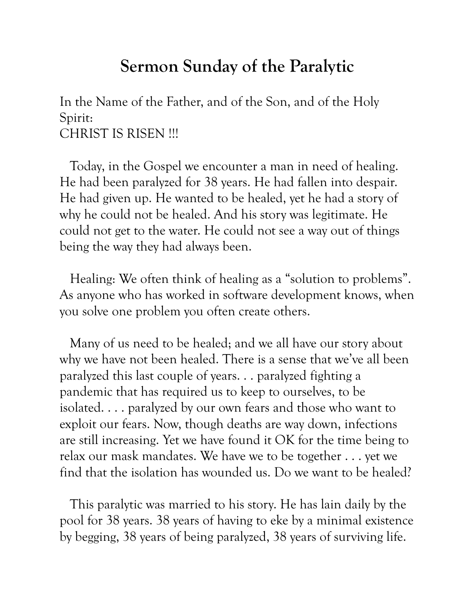## **Sermon Sunday of the Paralytic**

In the Name of the Father, and of the Son, and of the Holy Spirit: CHRIST IS RISEN !!!

 Today, in the Gospel we encounter a man in need of healing. He had been paralyzed for 38 years. He had fallen into despair. He had given up. He wanted to be healed, yet he had a story of why he could not be healed. And his story was legitimate. He could not get to the water. He could not see a way out of things being the way they had always been.

 Healing: We often think of healing as a "solution to problems". As anyone who has worked in software development knows, when you solve one problem you often create others.

 Many of us need to be healed; and we all have our story about why we have not been healed. There is a sense that we've all been paralyzed this last couple of years. . . paralyzed fighting a pandemic that has required us to keep to ourselves, to be isolated. . . . paralyzed by our own fears and those who want to exploit our fears. Now, though deaths are way down, infections are still increasing. Yet we have found it OK for the time being to relax our mask mandates. We have we to be together . . . yet we find that the isolation has wounded us. Do we want to be healed?

 This paralytic was married to his story. He has lain daily by the pool for 38 years. 38 years of having to eke by a minimal existence by begging, 38 years of being paralyzed, 38 years of surviving life.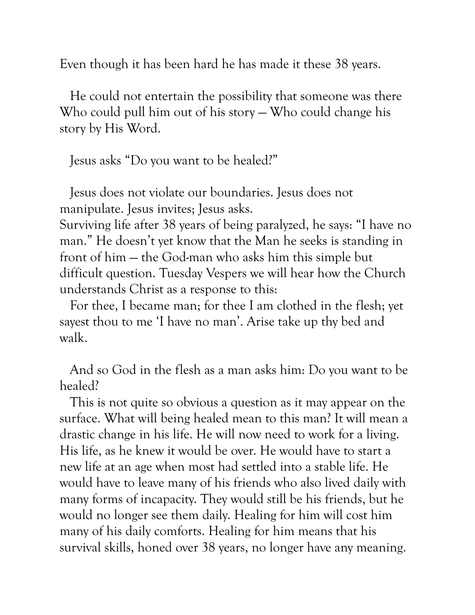Even though it has been hard he has made it these 38 years.

 He could not entertain the possibility that someone was there Who could pull him out of his story — Who could change his story by His Word.

Jesus asks "Do you want to be healed?"

 Jesus does not violate our boundaries. Jesus does not manipulate. Jesus invites; Jesus asks.

Surviving life after 38 years of being paralyzed, he says: "I have no man." He doesn't yet know that the Man he seeks is standing in front of him — the God-man who asks him this simple but difficult question. Tuesday Vespers we will hear how the Church understands Christ as a response to this:

 For thee, I became man; for thee I am clothed in the flesh; yet sayest thou to me 'I have no man'. Arise take up thy bed and walk.

 And so God in the flesh as a man asks him: Do you want to be healed?

 This is not quite so obvious a question as it may appear on the surface. What will being healed mean to this man? It will mean a drastic change in his life. He will now need to work for a living. His life, as he knew it would be over. He would have to start a new life at an age when most had settled into a stable life. He would have to leave many of his friends who also lived daily with many forms of incapacity. They would still be his friends, but he would no longer see them daily. Healing for him will cost him many of his daily comforts. Healing for him means that his survival skills, honed over 38 years, no longer have any meaning.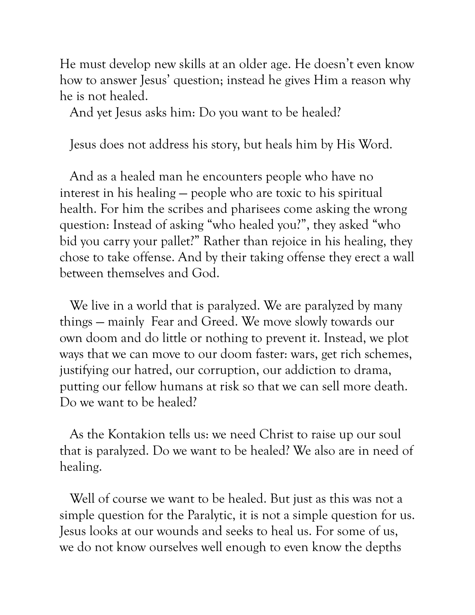He must develop new skills at an older age. He doesn't even know how to answer Jesus' question; instead he gives Him a reason why he is not healed.

And yet Jesus asks him: Do you want to be healed?

Jesus does not address his story, but heals him by His Word.

 And as a healed man he encounters people who have no interest in his healing — people who are toxic to his spiritual health. For him the scribes and pharisees come asking the wrong question: Instead of asking "who healed you?", they asked "who bid you carry your pallet?" Rather than rejoice in his healing, they chose to take offense. And by their taking offense they erect a wall between themselves and God.

We live in a world that is paralyzed. We are paralyzed by many things — mainly Fear and Greed. We move slowly towards our own doom and do little or nothing to prevent it. Instead, we plot ways that we can move to our doom faster: wars, get rich schemes, justifying our hatred, our corruption, our addiction to drama, putting our fellow humans at risk so that we can sell more death. Do we want to be healed?

 As the Kontakion tells us: we need Christ to raise up our soul that is paralyzed. Do we want to be healed? We also are in need of healing.

 Well of course we want to be healed. But just as this was not a simple question for the Paralytic, it is not a simple question for us. Jesus looks at our wounds and seeks to heal us. For some of us, we do not know ourselves well enough to even know the depths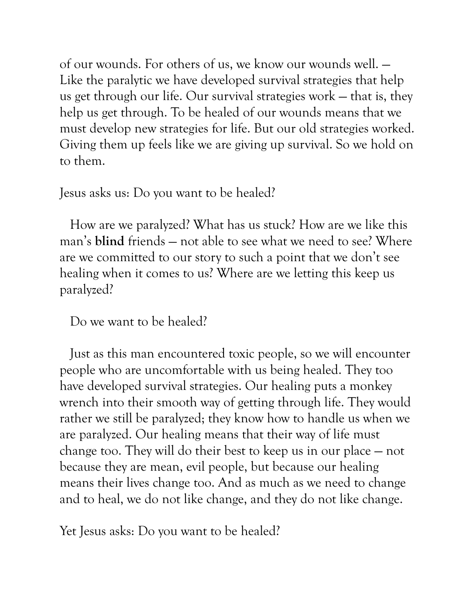of our wounds. For others of us, we know our wounds well. — Like the paralytic we have developed survival strategies that help us get through our life. Our survival strategies work — that is, they help us get through. To be healed of our wounds means that we must develop new strategies for life. But our old strategies worked. Giving them up feels like we are giving up survival. So we hold on to them.

Jesus asks us: Do you want to be healed?

 How are we paralyzed? What has us stuck? How are we like this man's **blind** friends — not able to see what we need to see? Where are we committed to our story to such a point that we don't see healing when it comes to us? Where are we letting this keep us paralyzed?

Do we want to be healed?

 Just as this man encountered toxic people, so we will encounter people who are uncomfortable with us being healed. They too have developed survival strategies. Our healing puts a monkey wrench into their smooth way of getting through life. They would rather we still be paralyzed; they know how to handle us when we are paralyzed. Our healing means that their way of life must change too. They will do their best to keep us in our place — not because they are mean, evil people, but because our healing means their lives change too. And as much as we need to change and to heal, we do not like change, and they do not like change.

Yet Jesus asks: Do you want to be healed?